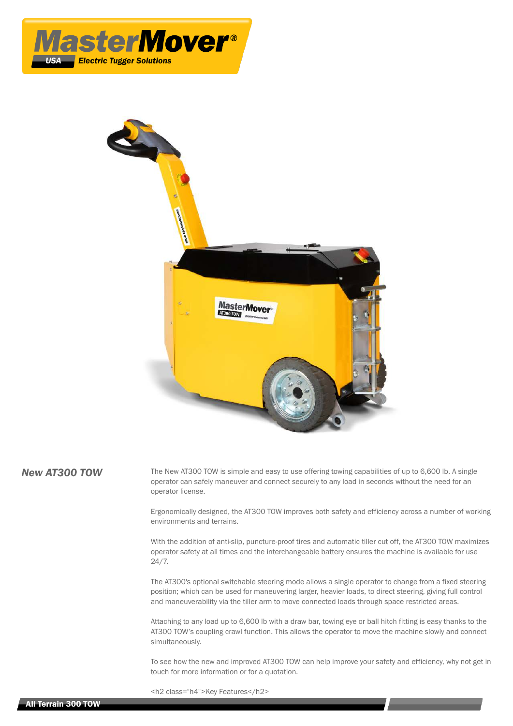



**New AT300 TOW** The New AT300 TOW is simple and easy to use offering towing capabilities of up to 6,600 lb. A single operator can safely maneuver and connect securely to any load in seconds without the need for an operator license.

> Ergonomically designed, the AT300 TOW improves both safety and efficiency across a number of working environments and terrains.

> With the addition of anti-slip, puncture-proof tires and automatic tiller cut off, the AT300 TOW maximizes operator safety at all times and the interchangeable battery ensures the machine is available for use 24/7.

> The AT300's optional switchable steering mode allows a single operator to change from a fixed steering position; which can be used for maneuvering larger, heavier loads, to direct steering, giving full control and maneuverability via the tiller arm to move connected loads through space restricted areas.

> Attaching to any load up to 6,600 lb with a draw bar, towing eye or ball hitch fitting is easy thanks to the AT300 TOW's coupling crawl function. This allows the operator to move the machine slowly and connect simultaneously.

To see how the new and improved AT300 TOW can help improve your safety and efficiency, why not get in touch for more information or for a quotation.

<h2 class="h4">Key Features</h2>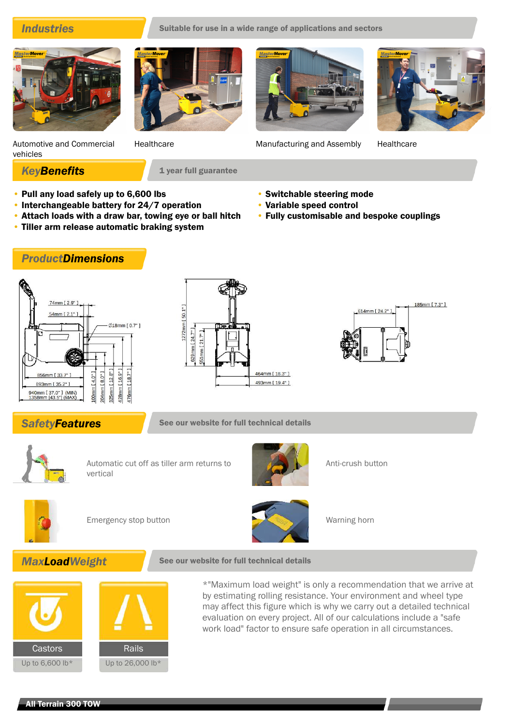

Automotive and Commercial vehicles





Healthcare Manufacturing and Assembly Healthcare

• Switchable steering mode

**KeyBenefits** 1 year full guarantee

- Pull any load safely up to 6,600 lbs
- Interchangeable battery for 24/7 operation
- Attach loads with a draw bar, towing eye or ball hitch
- Tiller arm release automatic braking system
- Variable speed control • Fully customisable and bespoke couplings

*ProductDimensions*







**SafetyFeatures** See our website for full technical details



Automatic cut off as tiller arm returns to vertical



Anti-crush button



Emergency stop button Warning horn



**MaxLoadWeight** See our website for full technical details



\*"Maximum load weight" is only a recommendation that we arrive at by estimating rolling resistance. Your environment and wheel type may affect this figure which is why we carry out a detailed technical evaluation on every project. All of our calculations include a "safe work load" factor to ensure safe operation in all circumstances.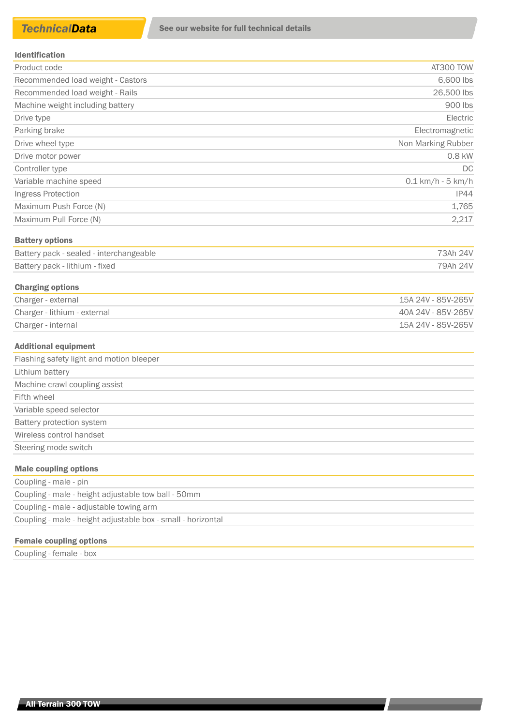### Identification

| AT300 TOW                   |
|-----------------------------|
| 6,600 lbs                   |
| 26,500 lbs                  |
| 900 lbs                     |
| Electric                    |
| Electromagnetic             |
| Non Marking Rubber          |
| 0.8 kW                      |
| DC.                         |
| $0.1 \text{ km/h}$ - 5 km/h |
| IP44                        |
| 1,765                       |
| 2,217                       |
|                             |

# Battery options

| Battery pack - sealed - interchangeable | 73Ah 24V |
|-----------------------------------------|----------|
| Battery pack - lithium - fixed          | 79Ah 24V |

# Charging options

| Charger - external           | 15A 24V - 85V-265V |
|------------------------------|--------------------|
| Charger - lithium - external | 40A 24V - 85V-265V |
| Charger - internal           | 15A 24V - 85V-265V |

### Additional equipment

| Flashing safety light and motion bleeper        |
|-------------------------------------------------|
| Lithium battery                                 |
| Machine crawl coupling assist                   |
| Fifth wheel                                     |
| Variable speed selector                         |
| Battery protection system                       |
| Wireless control handset                        |
| Steering mode switch                            |
| that we have a consequently seen and the second |

### Male coupling options

| Coupling - male - pin                                        |
|--------------------------------------------------------------|
| Coupling - male - height adjustable tow ball - 50mm          |
| Coupling - male - adjustable towing arm                      |
| Coupling - male - height adjustable box - small - horizontal |

# Female coupling options

Coupling - female - box